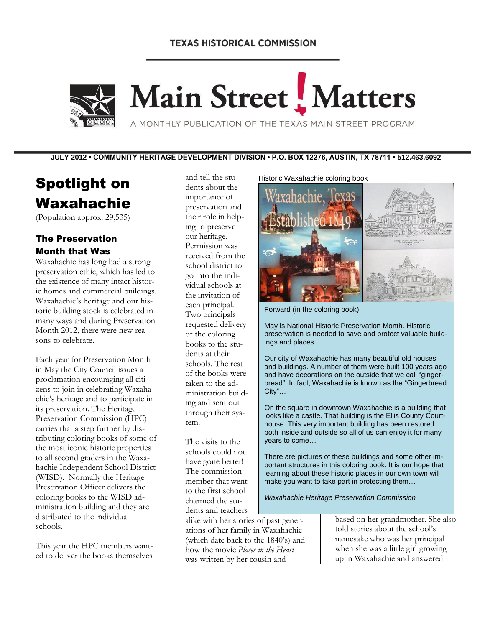## **TEXAS HISTORICAL COMMISSION**



Main Street Matters

A MONTHLY PUBLICATION OF THE TEXAS MAIN STREET PROGRAM

**JULY 2012 • COMMUNITY HERITAGE DEVELOPMENT DIVISION • P.O. BOX 12276, AUSTIN, TX 78711 • 512.463.6092**

# Spotlight on Waxahachie

(Population approx. 29,535)

#### The Preservation Month that Was

Waxahachie has long had a strong preservation ethic, which has led to the existence of many intact historic homes and commercial buildings. Waxahachie's heritage and our historic building stock is celebrated in many ways and during Preservation Month 2012, there were new reasons to celebrate.

Each year for Preservation Month in May the City Council issues a proclamation encouraging all citizens to join in celebrating Waxahachie's heritage and to participate in its preservation. The Heritage Preservation Commission (HPC) carries that a step further by distributing coloring books of some of the most iconic historic properties to all second graders in the Waxahachie Independent School District (WISD). Normally the Heritage Preservation Officer delivers the coloring books to the WISD administration building and they are distributed to the individual schools.

This year the HPC members wanted to deliver the books themselves

and tell the students about the importance of preservation and their role in helping to preserve our heritage. Permission was received from the school district to go into the individual schools at the invitation of each principal. Two principals requested delivery of the coloring books to the students at their schools. The rest of the books were taken to the administration building and sent out through their system.

The visits to the schools could not have gone better! The commission member that went to the first school charmed the students and teachers

alike with her stories of past generations of her family in Waxahachie (which date back to the 1840's) and how the movie *Places in the Heart* was written by her cousin and

Historic Waxahachie coloring book



Forward (in the coloring book)

May is National Historic Preservation Month. Historic preservation is needed to save and protect valuable buildings and places.

Our city of Waxahachie has many beautiful old houses and buildings. A number of them were built 100 years ago and have decorations on the outside that we call "gingerbread". In fact, Waxahachie is known as the "Gingerbread City"…

On the square in downtown Waxahachie is a building that looks like a castle. That building is the Ellis County Courthouse. This very important building has been restored both inside and outside so all of us can enjoy it for many years to come…

There are pictures of these buildings and some other important structures in this coloring book. It is our hope that learning about these historic places in our own town will make you want to take part in protecting them…

*Waxahachie Heritage Preservation Commission*

based on her grandmother. She also told stories about the school's namesake who was her principal when she was a little girl growing up in Waxahachie and answered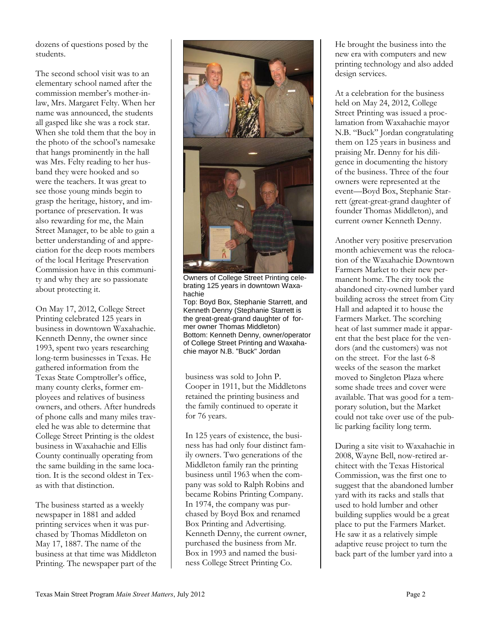dozens of questions posed by the students.

The second school visit was to an elementary school named after the commission member's mother-inlaw, Mrs. Margaret Felty. When her name was announced, the students all gasped like she was a rock star. When she told them that the boy in the photo of the school's namesake that hangs prominently in the hall was Mrs. Felty reading to her husband they were hooked and so were the teachers. It was great to see those young minds begin to grasp the heritage, history, and importance of preservation. It was also rewarding for me, the Main Street Manager, to be able to gain a better understanding of and appreciation for the deep roots members of the local Heritage Preservation Commission have in this community and why they are so passionate about protecting it.

On May 17, 2012, College Street Printing celebrated 125 years in business in downtown Waxahachie. Kenneth Denny, the owner since 1993, spent two years researching long-term businesses in Texas. He gathered information from the Texas State Comptroller's office, many county clerks, former employees and relatives of business owners, and others. After hundreds of phone calls and many miles traveled he was able to determine that College Street Printing is the oldest business in Waxahachie and Ellis County continually operating from the same building in the same location. It is the second oldest in Texas with that distinction.

The business started as a weekly newspaper in 1881 and added printing services when it was purchased by Thomas Middleton on May 17, 1887. The name of the business at that time was Middleton Printing. The newspaper part of the



Owners of College Street Printing celebrating 125 years in downtown Waxahachie

Top: Boyd Box, Stephanie Starrett, and Kenneth Denny (Stephanie Starrett is the great-great-grand daughter of former owner Thomas Middleton) Bottom: Kenneth Denny, owner/operator of College Street Printing and Waxahachie mayor N.B. "Buck" Jordan

business was sold to John P. Cooper in 1911, but the Middletons retained the printing business and the family continued to operate it for 76 years.

In 125 years of existence, the business has had only four distinct family owners. Two generations of the Middleton family ran the printing business until 1963 when the company was sold to Ralph Robins and became Robins Printing Company. In 1974, the company was purchased by Boyd Box and renamed Box Printing and Advertising. Kenneth Denny, the current owner, purchased the business from Mr. Box in 1993 and named the business College Street Printing Co.

He brought the business into the new era with computers and new printing technology and also added design services.

At a celebration for the business held on May 24, 2012, College Street Printing was issued a proclamation from Waxahachie mayor N.B. "Buck" Jordan congratulating them on 125 years in business and praising Mr. Denny for his diligence in documenting the history of the business. Three of the four owners were represented at the event—Boyd Box, Stephanie Starrett (great-great-grand daughter of founder Thomas Middleton), and current owner Kenneth Denny.

Another very positive preservation month achievement was the relocation of the Waxahachie Downtown Farmers Market to their new permanent home. The city took the abandoned city-owned lumber yard building across the street from City Hall and adapted it to house the Farmers Market. The scorching heat of last summer made it apparent that the best place for the vendors (and the customers) was not on the street. For the last 6-8 weeks of the season the market moved to Singleton Plaza where some shade trees and cover were available. That was good for a temporary solution, but the Market could not take over use of the public parking facility long term.

During a site visit to Waxahachie in 2008, Wayne Bell, now-retired architect with the Texas Historical Commission, was the first one to suggest that the abandoned lumber yard with its racks and stalls that used to hold lumber and other building supplies would be a great place to put the Farmers Market. He saw it as a relatively simple adaptive reuse project to turn the back part of the lumber yard into a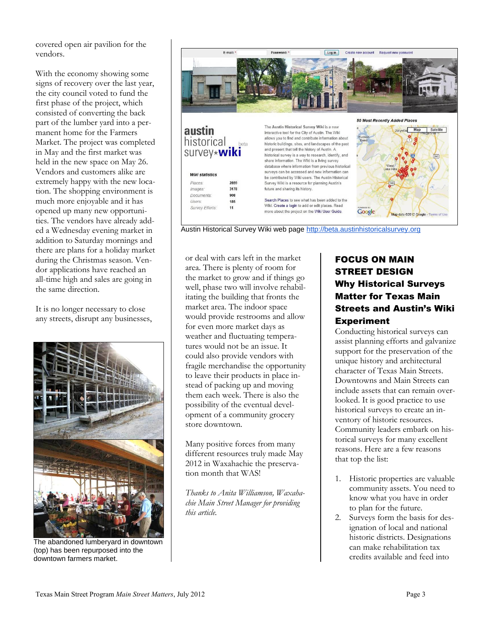covered open air pavilion for the vendors.

With the economy showing some signs of recovery over the last year, the city council voted to fund the first phase of the project, which consisted of converting the back part of the lumber yard into a permanent home for the Farmers Market. The project was completed in May and the first market was held in the new space on May 26. Vendors and customers alike are extremely happy with the new location. The shopping environment is much more enjoyable and it has opened up many new opportunities. The vendors have already added a Wednesday evening market in addition to Saturday mornings and there are plans for a holiday market during the Christmas season. Vendor applications have reached an all-time high and sales are going in the same direction.

It is no longer necessary to close any streets, disrupt any businesses,



The abandoned lumberyard in downtown (top) has been repurposed into the downtown farmers market.



Austin Historical Survey Wiki web page [http://beta.austinhistoricalsurvey.org](http://beta.austinhistoricalsurvey.org./)

or deal with cars left in the market area. There is plenty of room for the market to grow and if things go well, phase two will involve rehabilitating the building that fronts the market area. The indoor space would provide restrooms and allow for even more market days as weather and fluctuating temperatures would not be an issue. It could also provide vendors with fragile merchandise the opportunity to leave their products in place instead of packing up and moving them each week. There is also the possibility of the eventual development of a community grocery store downtown.

Many positive forces from many different resources truly made May 2012 in Waxahachie the preservation month that WAS!

*Thanks to Anita Williamson, Waxahachie Main Street Manager for providing this article.*

# FOCUS ON MAIN STREET DESIGN Why Historical Surveys Matter for Texas Main Streets and Austin's Wiki Experiment

Conducting historical surveys can assist planning efforts and galvanize support for the preservation of the unique history and architectural character of Texas Main Streets. Downtowns and Main Streets can include assets that can remain overlooked. It is good practice to use historical surveys to create an inventory of historic resources. Community leaders embark on historical surveys for many excellent reasons. Here are a few reasons that top the list:

- 1. Historic properties are valuable community assets. You need to know what you have in order to plan for the future.
- 2. Surveys form the basis for designation of local and national historic districts. Designations can make rehabilitation tax credits available and feed into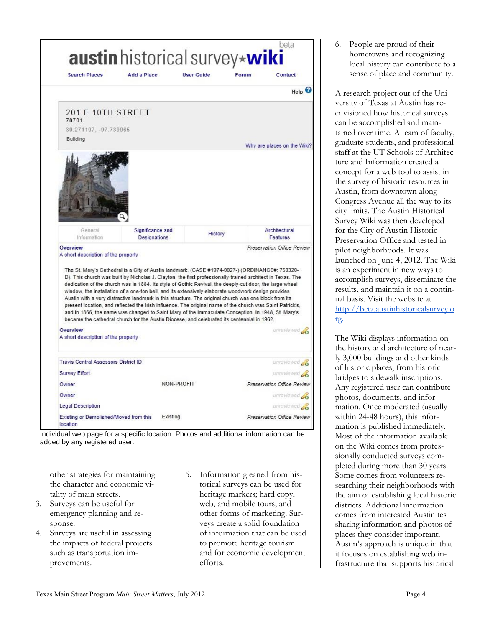

Individual web page for a specific location. Photos and additional information can be added by any registered user.

other strategies for maintaining the character and economic vitality of main streets.

- 3. Surveys can be useful for emergency planning and response.
- 4. Surveys are useful in assessing the impacts of federal projects such as transportation improvements.
- 5. Information gleaned from historical surveys can be used for heritage markers; hard copy, web, and mobile tours; and other forms of marketing. Surveys create a solid foundation of information that can be used to promote heritage tourism and for economic development efforts.

6. People are proud of their hometowns and recognizing local history can contribute to a sense of place and community.

A research project out of the University of Texas at Austin has reenvisioned how historical surveys can be accomplished and maintained over time. A team of faculty, graduate students, and professional staff at the UT Schools of Architecture and Information created a concept for a web tool to assist in the survey of historic resources in Austin, from downtown along Congress Avenue all the way to its city limits. The Austin Historical Survey Wiki was then developed for the City of Austin Historic Preservation Office and tested in pilot neighborhoods. It was launched on June 4, 2012. The Wiki is an experiment in new ways to accomplish surveys, disseminate the results, and maintain it on a continual basis. Visit the website at [http://beta.austinhistoricalsurvey.o](http://beta.austinhistoricalsurvey.org./) [rg.](http://beta.austinhistoricalsurvey.org./)

The Wiki displays information on the history and architecture of nearly 3,000 buildings and other kinds of historic places, from historic bridges to sidewalk inscriptions. Any registered user can contribute photos, documents, and information. Once moderated (usually within 24-48 hours), this information is published immediately. Most of the information available on the Wiki comes from professionally conducted surveys completed during more than 30 years. Some comes from volunteers researching their neighborhoods with the aim of establishing local historic districts. Additional information comes from interested Austinites sharing information and photos of places they consider important. Austin's approach is unique in that it focuses on establishing web infrastructure that supports historical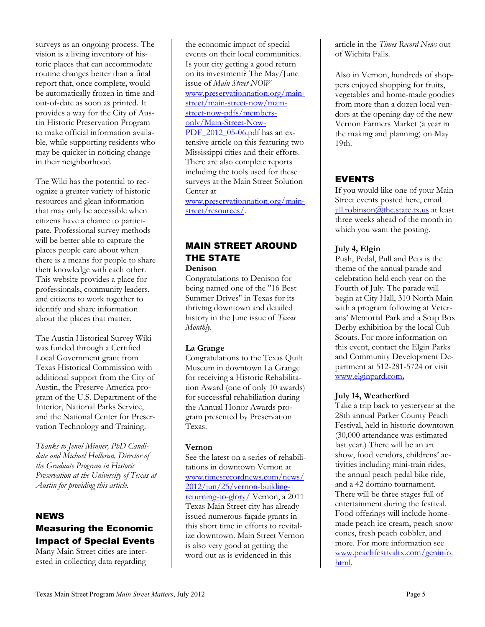surveys as an ongoing process. The vision is a living inventory of historic places that can accommodate routine changes better than a final report that, once complete, would be automatically frozen in time and out-of-date as soon as printed. It provides a way for the City of Austin Historic Preservation Program to make official information available, while supporting residents who may be quicker in noticing change in their neighborhood.

The Wiki has the potential to recognize a greater variety of historic resources and glean information that may only be accessible when citizens have a chance to participate. Professional survey methods will be better able to capture the places people care about when there is a means for people to share their knowledge with each other. This website provides a place for professionals, community leaders, and citizens to work together to identify and share information about the places that matter.

The Austin Historical Survey Wiki was funded through a Certified Local Government grant from Texas Historical Commission with additional support from the City of Austin, the Preserve America program of the U.S. Department of the Interior, National Parks Service, and the National Center for Preservation Technology and Training.

*Thanks to Jenni Minner, PhD Candidate and Michael Holleran, Director of the Graduate Program in Historic Preservation at the University of Texas at Austin for providing this article.*

## NEWS Measuring the Economic Impact of Special Events

Many Main Street cities are interested in collecting data regarding

the economic impact of special events on their local communities. Is your city getting a good return on its investment? The May/June issue of *Main Street NOW* [www.preservationnation.org/main](http://www.preservationnation.org/main-street/main-street-now/main-street-now-pdfs/members-only/Main-Street-Now-PDF_2012_05-06.pdf)[street/main-street-now/main](http://www.preservationnation.org/main-street/main-street-now/main-street-now-pdfs/members-only/Main-Street-Now-PDF_2012_05-06.pdf)[street-now-pdfs/members](http://www.preservationnation.org/main-street/main-street-now/main-street-now-pdfs/members-only/Main-Street-Now-PDF_2012_05-06.pdf)[only/Main-Street-Now-](http://www.preservationnation.org/main-street/main-street-now/main-street-now-pdfs/members-only/Main-Street-Now-PDF_2012_05-06.pdf)PDF 2012 05-06.pdf has an extensive article on this featuring two Mississippi cities and their efforts. There are also complete reports including the tools used for these surveys at the Main Street Solution Center at [www.preservationnation.org/main-](http://www.preservationnation.org/main-street/resources/)

street/resources/.

# MAIN STREET AROUND THE STATE

**Denison**

Congratulations to Denison for being named one of the "16 Best Summer Drives" in Texas for its thriving downtown and detailed history in the June issue of *Texas Monthly.* 

#### **La Grange**

Congratulations to the Texas Quilt Museum in downtown La Grange for receiving a Historic Rehabilitation Award (one of only 10 awards) for successful rehabiliation during the Annual Honor Awards program presented by Preservation Texas.

#### **Vernon**

See the latest on a series of rehabilitations in downtown Vernon at [www.timesrecordnews.com/news/](http://www.timesrecordnews.com/news/2012/jun/25/vernon-building-returning-to-glory/) [2012/jun/25/vernon-building](http://www.timesrecordnews.com/news/2012/jun/25/vernon-building-returning-to-glory/)[returning-to-glory/](http://www.timesrecordnews.com/news/2012/jun/25/vernon-building-returning-to-glory/) Vernon, a 2011 Texas Main Street city has already issued numerous façade grants in this short time in efforts to revitalize downtown. Main Street Vernon is also very good at getting the word out as is evidenced in this

article in the *Times Record News* out of Wichita Falls.

Also in Vernon, hundreds of shoppers enjoyed shopping for fruits, vegetables and home-made goodies from more than a dozen local vendors at the opening day of the new Vernon Farmers Market (a year in the making and planning) on May 19th.

# EVENTS

If you would like one of your Main Street events posted here, email [jill.robinson@thc.state.tx.us](mailto:jill.robinson@thc.state.tx.us) at least three weeks ahead of the month in which you want the posting.

## **July 4, Elgin**

Push, Pedal, Pull and Pets is the theme of the annual parade and celebration held each year on the Fourth of July. The parade will begin at City Hall, 310 North Main with a program following at Veterans' Memorial Park and a Soap Box Derby exhibition by the local Cub Scouts. For more information on this event, contact the Elgin Parks and Community Development Department at 512-281-5724 or visit [www.elginpard.com](http://www.myrecdept.com/tx/elgin/default2.asp)**[.](http://www.myrecdept.com/tx/elgin/default2.asp)**

#### **July 14, Weatherford**

Take a trip back to yesteryear at the 28th annual Parker County Peach Festival, held in historic downtown (30,000 attendance was estimated last year.) There will be an art show, food vendors, childrens' activities including mini-train rides, the annual peach pedal bike ride, and a 42 domino tournament. There will be three stages full of entertainment during the festival. Food offerings will include homemade peach ice cream, peach snow cones, fresh peach cobbler, and more. For more information see [www.peachfestivaltx.com/geninfo.](http://www.peachfestivaltx.com/geninfo.html) [html.](http://www.peachfestivaltx.com/geninfo.html)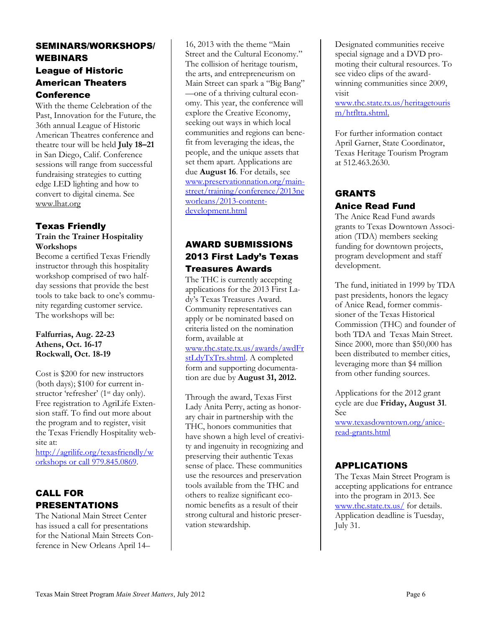## SEMINARS/WORKSHOPS/ WEBINARS League of Historic American Theaters Conference

With the theme Celebration of the Past, Innovation for the Future, the 36th annual League of Historic American Theatres conference and theatre tour will be held **July 18–21** in San Diego, Calif. Conference sessions will range from successful fundraising strategies to cutting edge LED lighting and how to convert to digital cinema. See [www.lhat.org](http://www.lhat.org/)

#### Texas Friendly **Train the Trainer Hospitality Workshops**

Become a certified Texas Friendly instructor through this hospitality workshop comprised of two halfday sessions that provide the best tools to take back to one's community regarding customer service. The workshops will be:

#### **Falfurrias, Aug. 22-23 Athens, Oct. 16-17 Rockwall, Oct. 18-19**

Cost is \$200 for new instructors (both days); \$100 for current instructor 'refresher' (1<sup>st</sup> day only). Free registration to AgriLife Extension staff. To find out more about the program and to register, visit the Texas Friendly Hospitality website at:

[http://agrilife.org/texasfriendly/w](http://agrilife.org/texasfriendly/workshops%20or%20call%20979.845.0869) [orkshops or call 979.845.0869.](http://agrilife.org/texasfriendly/workshops%20or%20call%20979.845.0869)

## CALL FOR PRESENTATIONS

The National Main Street Center has issued a call for presentations for the National Main Streets Conference in New Orleans April 14–

16, 2013 with the theme "Main Street and the Cultural Economy." The collision of heritage tourism, the arts, and entrepreneurism on Main Street can spark a "Big Bang" —one of a thriving cultural economy. This year, the conference will explore the Creative Economy, seeking out ways in which local communities and regions can benefit from leveraging the ideas, the people, and the unique assets that set them apart. Applications are due **August 16**. For details, see [www.preservationnation.org/main](http://www.preservationnation.org/main-street/training/conference/2013neworleans/2013-content-development.html)[street/training/conference/2013ne](http://www.preservationnation.org/main-street/training/conference/2013neworleans/2013-content-development.html) [worleans/2013-content](http://www.preservationnation.org/main-street/training/conference/2013neworleans/2013-content-development.html)[development.html](http://www.preservationnation.org/main-street/training/conference/2013neworleans/2013-content-development.html)

## AWARD SUBMISSIONS 2013 First Lady's Texas Treasures Awards

The THC is currently accepting applications for the 2013 First Lady's Texas Treasures Award. Community representatives can apply or be nominated based on criteria listed on the nomination form, available at [www.thc.state.tx.us/awards/awdFr](http://www.thc.state.tx.us/awards/awdFrstLdyTxTrs.shtml) [stLdyTxTrs.shtml.](http://www.thc.state.tx.us/awards/awdFrstLdyTxTrs.shtml) A completed

form and supporting documentation are due by **August 31, 2012.** 

Through the award, Texas First Lady Anita Perry, acting as honorary chair in partnership with the THC, honors communities that have shown a high level of creativity and ingenuity in recognizing and preserving their authentic Texas sense of place. These communities use the resources and preservation tools available from the THC and others to realize significant economic benefits as a result of their strong cultural and historic preservation stewardship.

Designated communities receive special signage and a DVD promoting their cultural resources. To see video clips of the awardwinning communities since 2009, visit

[www.thc.state.tx.us/heritagetouris](http://www.thc.state.tx.us/heritagetourism/htfltta.shtml) [m/htfltta.shtml.](http://www.thc.state.tx.us/heritagetourism/htfltta.shtml)

For further information contact April Garner, State Coordinator, Texas Heritage Tourism Program at 512.463.2630.

## GRANTS Anice Read Fund

The Anice Read Fund awards grants to Texas Downtown Association (TDA) members seeking funding for downtown projects, program development and staff development.

The fund, initiated in 1999 by TDA past presidents, honors the legacy of Anice Read, former commissioner of the Texas Historical Commission (THC) and founder of both TDA and Texas Main Street. Since 2000, more than \$50,000 has been distributed to member cities, leveraging more than \$4 million from other funding sources.

Applications for the 2012 grant cycle are due **Friday, August 31**. See

[www.texasdowntown.org/anice](http://www.texasdowntown.org/anice-read-grants.html)[read-grants.html](http://www.texasdowntown.org/anice-read-grants.html)

## APPLICATIONS

The Texas Main Street Program is accepting applications for entrance into the program in 2013. See [www.thc.state.tx.us/](http://www.thc.state.tx.us/) for details. Application deadline is Tuesday, July 31.